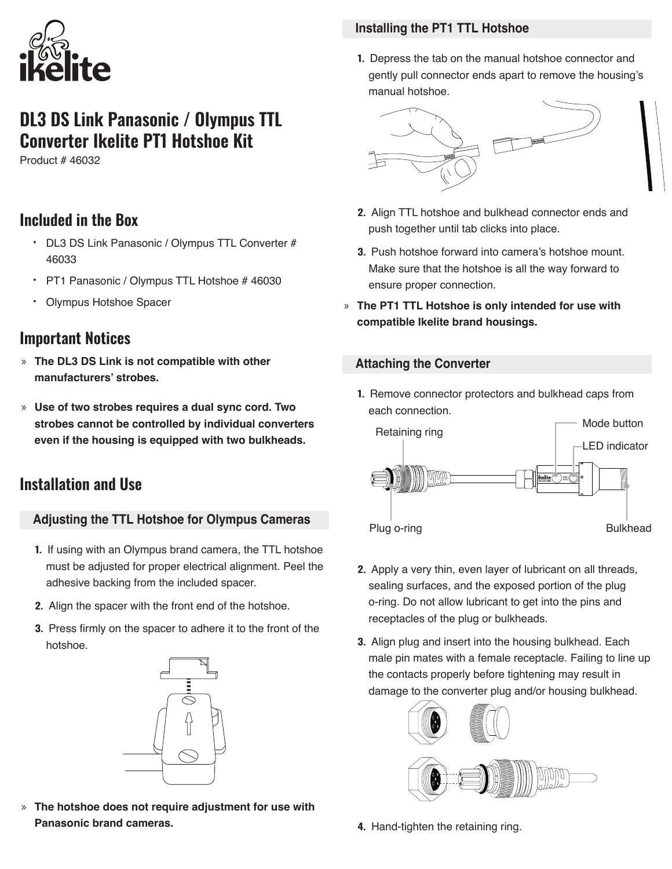

# **DL3 DS Link Panasonic / Olympus TTL Converter Ikelite PT1 Hotshoe Kit**

Product # 46032

## **Included in the Box**

- DL3 DS Link Panasonic / Olympus TTL Converter # 46033
- PT1 Panasonic / Olympus TTL Hotshoe # 46030
- Olympus Hotshoe Spacer

### **Important Notices**

- » **The DL3 DS Link is not compatible with other manufacturers' strobes.**
- » **Use of two strobes requires a dual sync cord. Two strobes cannot be controlled by individual converters even if the housing is equipped with two bulkheads.**

# **Installation and Use**

### **Adjusting the TTL Hotshoe for Olympus Cameras**

- **1.** If using with an Olympus brand camera, the TTL hotshoe must be adjusted for proper electrical alignment. Peel the adhesive backing from the included spacer.
- **2.** Align the spacer with the front end of the hotshoe.
- **3.** Press firmly on the spacer to adhere it to the front of the hotshoe.



» **The hotshoe does not require adjustment for use with Panasonic brand cameras.**

#### **Installing the PT1 TTL Hotshoe**

**1.** Depress the tab on the manual hotshoe connector and gently pull connector ends apart to remove the housing's manual hotshoe.



- **2.** Align TTL hotshoe and bulkhead connector ends and push together until tab clicks into place.
- **3.** Push hotshoe forward into camera's hotshoe mount. Make sure that the hotshoe is all the way forward to ensure proper connection.
- » **The PT1 TTL Hotshoe is only intended for use with compatible Ikelite brand housings.**

#### **Attaching the Converter**

**1.** Remove connector protectors and bulkhead caps from each connection.



- **2.** Apply a very thin, even layer of lubricant on all threads, sealing surfaces, and the exposed portion of the plug o-ring. Do not allow lubricant to get into the pins and receptacles of the plug or bulkheads.
- **3.** Align plug and insert into the housing bulkhead. Each male pin mates with a female receptacle. Failing to line up the contacts properly before tightening may result in damage to the converter plug and/or housing bulkhead.



**4.** Hand-tighten the retaining ring.